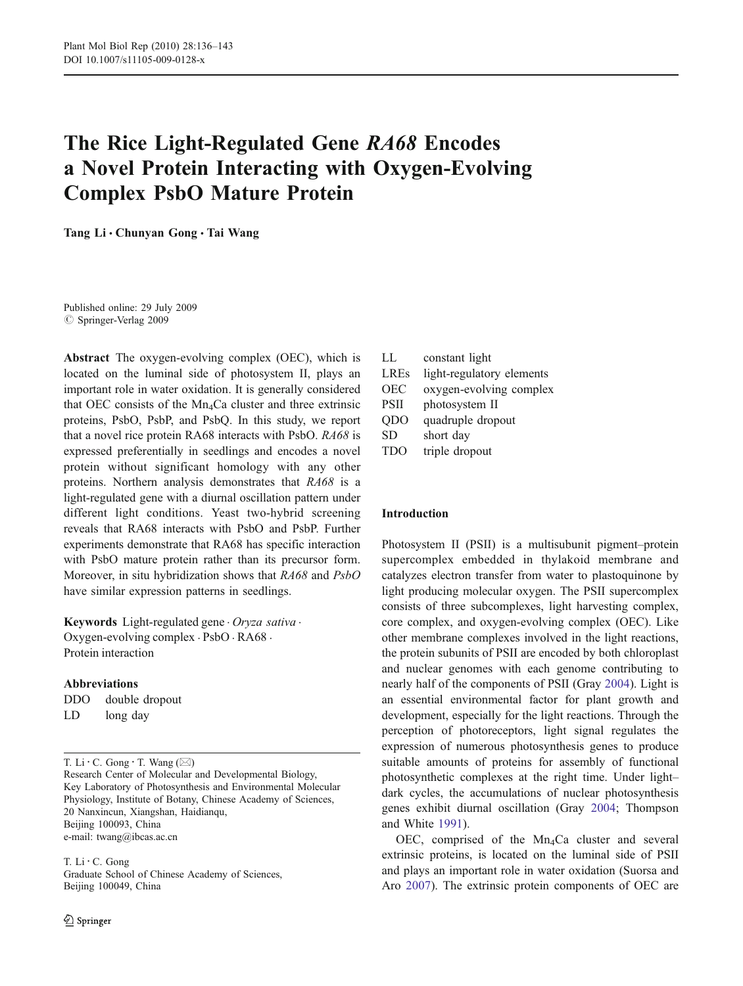# The Rice Light-Regulated Gene RA68 Encodes a Novel Protein Interacting with Oxygen-Evolving Complex PsbO Mature Protein

Tang Li · Chunyan Gong · Tai Wang

Published online: 29 July 2009  $\oslash$  Springer-Verlag 2009

Abstract The oxygen-evolving complex (OEC), which is located on the luminal side of photosystem II, plays an important role in water oxidation. It is generally considered that OEC consists of the  $Mn_4$ Ca cluster and three extrinsic proteins, PsbO, PsbP, and PsbQ. In this study, we report that a novel rice protein RA68 interacts with PsbO. RA68 is expressed preferentially in seedlings and encodes a novel protein without significant homology with any other proteins. Northern analysis demonstrates that RA68 is a light-regulated gene with a diurnal oscillation pattern under different light conditions. Yeast two-hybrid screening reveals that RA68 interacts with PsbO and PsbP. Further experiments demonstrate that RA68 has specific interaction with PsbO mature protein rather than its precursor form. Moreover, in situ hybridization shows that RA68 and PsbO have similar expression patterns in seedlings.

Keywords Light-regulated gene · Oryza sativa · Oxygen-evolving complex . PsbO . RA68 . Protein interaction

### Abbreviations

| <b>DDO</b> |  | double dropout |
|------------|--|----------------|
|------------|--|----------------|

LD long day

T. Li  $\cdot$  C. Gong  $\cdot$  T. Wang ( $\boxtimes$ )

Research Center of Molecular and Developmental Biology, Key Laboratory of Photosynthesis and Environmental Molecular Physiology, Institute of Botany, Chinese Academy of Sciences, 20 Nanxincun, Xiangshan, Haidianqu, Beijing 100093, China e-mail: twang@ibcas.ac.cn

T. Li : C. Gong Graduate School of Chinese Academy of Sciences, Beijing 100049, China

LL constant light LREs light-regulatory elements OEC oxygen-evolving complex PSII photosystem II QDO quadruple dropout SD short day TDO triple dropout

# Introduction

Photosystem II (PSII) is a multisubunit pigment–protein supercomplex embedded in thylakoid membrane and catalyzes electron transfer from water to plastoquinone by light producing molecular oxygen. The PSII supercomplex consists of three subcomplexes, light harvesting complex, core complex, and oxygen-evolving complex (OEC). Like other membrane complexes involved in the light reactions, the protein subunits of PSII are encoded by both chloroplast and nuclear genomes with each genome contributing to nearly half of the components of PSII (Gray [2004](#page-6-0)). Light is an essential environmental factor for plant growth and development, especially for the light reactions. Through the perception of photoreceptors, light signal regulates the expression of numerous photosynthesis genes to produce suitable amounts of proteins for assembly of functional photosynthetic complexes at the right time. Under light– dark cycles, the accumulations of nuclear photosynthesis genes exhibit diurnal oscillation (Gray [2004;](#page-6-0) Thompson and White [1991](#page-7-0)).

OEC, comprised of the  $Mn_4$ Ca cluster and several extrinsic proteins, is located on the luminal side of PSII and plays an important role in water oxidation (Suorsa and Aro [2007](#page-7-0)). The extrinsic protein components of OEC are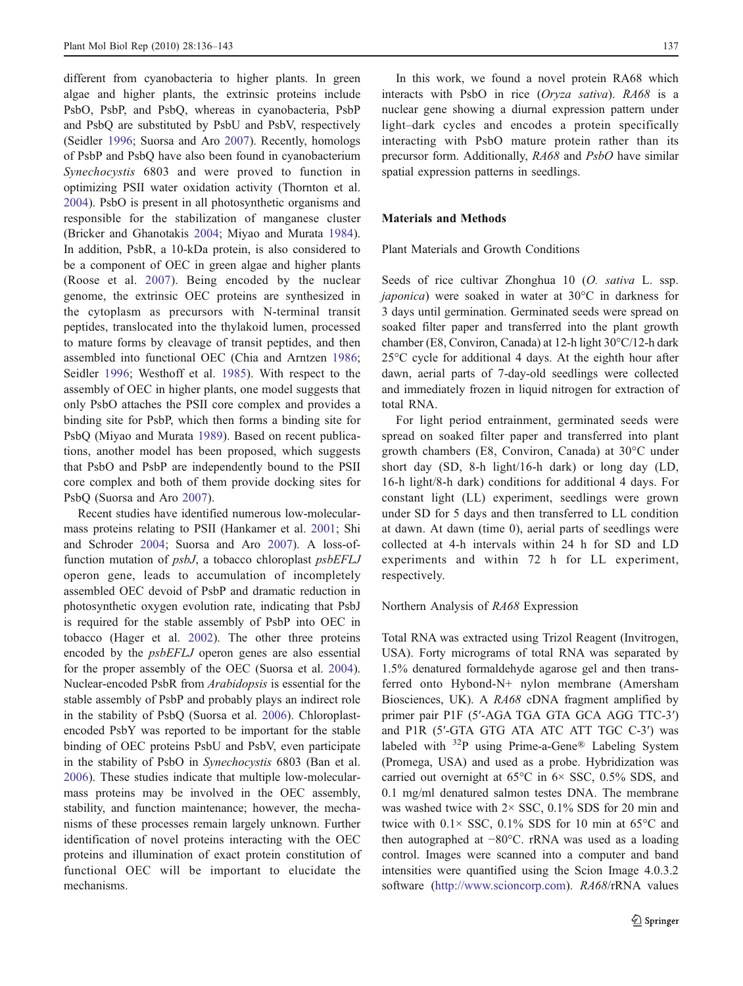different from cyanobacteria to higher plants. In green algae and higher plants, the extrinsic proteins include PsbO, PsbP, and PsbQ, whereas in cyanobacteria, PsbP and PsbQ are substituted by PsbU and PsbV, respectively (Seidler [1996](#page-7-0); Suorsa and Aro [2007](#page-7-0)). Recently, homologs of PsbP and PsbQ have also been found in cyanobacterium Synechocystis 6803 and were proved to function in optimizing PSII water oxidation activity (Thornton et al. [2004\)](#page-7-0). PsbO is present in all photosynthetic organisms and responsible for the stabilization of manganese cluster (Bricker and Ghanotakis [2004;](#page-6-0) Miyao and Murata [1984](#page-7-0)). In addition, PsbR, a 10-kDa protein, is also considered to be a component of OEC in green algae and higher plants (Roose et al. [2007](#page-7-0)). Being encoded by the nuclear genome, the extrinsic OEC proteins are synthesized in the cytoplasm as precursors with N-terminal transit peptides, translocated into the thylakoid lumen, processed to mature forms by cleavage of transit peptides, and then assembled into functional OEC (Chia and Arntzen [1986](#page-6-0); Seidler [1996;](#page-7-0) Westhoff et al. [1985\)](#page-7-0). With respect to the assembly of OEC in higher plants, one model suggests that only PsbO attaches the PSII core complex and provides a binding site for PsbP, which then forms a binding site for PsbQ (Miyao and Murata [1989\)](#page-7-0). Based on recent publications, another model has been proposed, which suggests that PsbO and PsbP are independently bound to the PSII core complex and both of them provide docking sites for PsbQ (Suorsa and Aro [2007](#page-7-0)).

Recent studies have identified numerous low-molecularmass proteins relating to PSII (Hankamer et al. [2001](#page-7-0); Shi and Schroder [2004](#page-7-0); Suorsa and Aro [2007\)](#page-7-0). A loss-offunction mutation of *psbJ*, a tobacco chloroplast *psbEFLJ* operon gene, leads to accumulation of incompletely assembled OEC devoid of PsbP and dramatic reduction in photosynthetic oxygen evolution rate, indicating that PsbJ is required for the stable assembly of PsbP into OEC in tobacco (Hager et al. [2002](#page-7-0)). The other three proteins encoded by the psbEFLJ operon genes are also essential for the proper assembly of the OEC (Suorsa et al. [2004](#page-7-0)). Nuclear-encoded PsbR from Arabidopsis is essential for the stable assembly of PsbP and probably plays an indirect role in the stability of PsbQ (Suorsa et al. [2006](#page-7-0)). Chloroplastencoded PsbY was reported to be important for the stable binding of OEC proteins PsbU and PsbV, even participate in the stability of PsbO in Synechocystis 6803 (Ban et al. [2006\)](#page-6-0). These studies indicate that multiple low-molecularmass proteins may be involved in the OEC assembly, stability, and function maintenance; however, the mechanisms of these processes remain largely unknown. Further identification of novel proteins interacting with the OEC proteins and illumination of exact protein constitution of functional OEC will be important to elucidate the mechanisms.

In this work, we found a novel protein RA68 which interacts with PsbO in rice (Oryza sativa). RA68 is a nuclear gene showing a diurnal expression pattern under light–dark cycles and encodes a protein specifically interacting with PsbO mature protein rather than its precursor form. Additionally, RA68 and PsbO have similar spatial expression patterns in seedlings.

# Materials and Methods

Plant Materials and Growth Conditions

Seeds of rice cultivar Zhonghua 10 (O. sativa L. ssp. japonica) were soaked in water at 30°C in darkness for 3 days until germination. Germinated seeds were spread on soaked filter paper and transferred into the plant growth chamber (E8, Conviron, Canada) at 12-h light 30°C/12-h dark 25°C cycle for additional 4 days. At the eighth hour after dawn, aerial parts of 7-day-old seedlings were collected and immediately frozen in liquid nitrogen for extraction of total RNA.

For light period entrainment, germinated seeds were spread on soaked filter paper and transferred into plant growth chambers (E8, Conviron, Canada) at 30°C under short day (SD, 8-h light/16-h dark) or long day (LD, 16-h light/8-h dark) conditions for additional 4 days. For constant light (LL) experiment, seedlings were grown under SD for 5 days and then transferred to LL condition at dawn. At dawn (time 0), aerial parts of seedlings were collected at 4-h intervals within 24 h for SD and LD experiments and within 72 h for LL experiment, respectively.

#### Northern Analysis of RA68 Expression

Total RNA was extracted using Trizol Reagent (Invitrogen, USA). Forty micrograms of total RNA was separated by 1.5% denatured formaldehyde agarose gel and then transferred onto Hybond-N+ nylon membrane (Amersham Biosciences, UK). A RA68 cDNA fragment amplified by primer pair P1F (5′-AGA TGA GTA GCA AGG TTC-3′) and P1R (5′-GTA GTG ATA ATC ATT TGC C-3′) was labeled with  $32P$  using Prime-a-Gene® Labeling System (Promega, USA) and used as a probe. Hybridization was carried out overnight at 65°C in 6× SSC, 0.5% SDS, and 0.1 mg/ml denatured salmon testes DNA. The membrane was washed twice with 2× SSC, 0.1% SDS for 20 min and twice with  $0.1 \times$  SSC,  $0.1\%$  SDS for 10 min at 65 $\degree$ C and then autographed at *−*80°C. rRNA was used as a loading control. Images were scanned into a computer and band intensities were quantified using the Scion Image 4.0.3.2 software ([http://www.scioncorp.com\)](http://www.scioncorp.com). RA68/rRNA values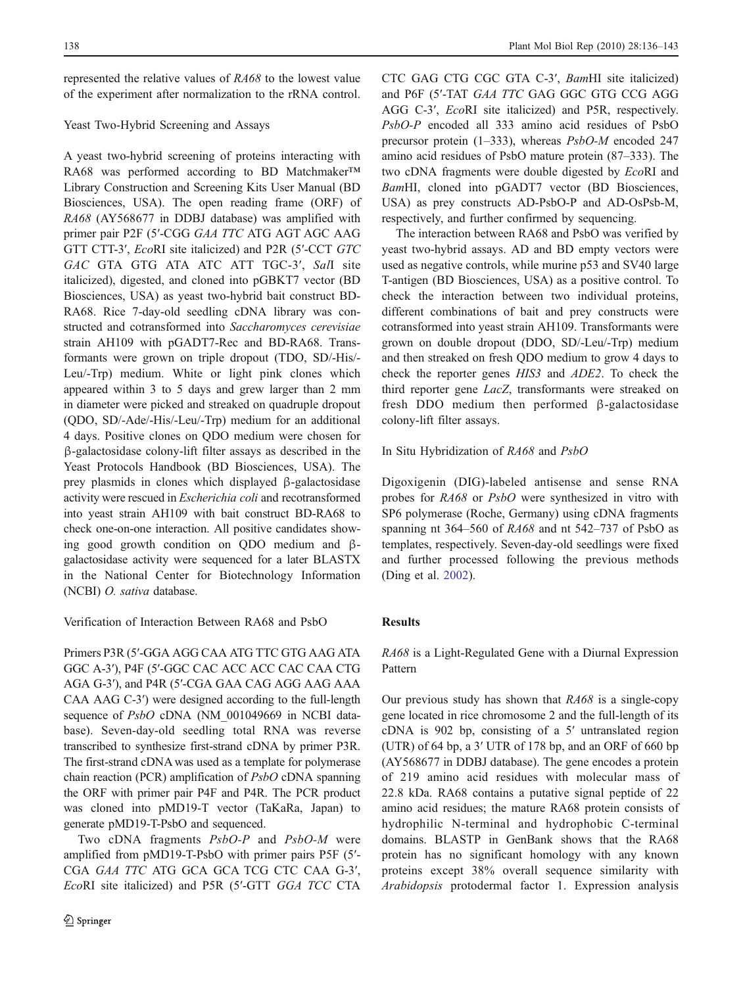represented the relative values of RA68 to the lowest value of the experiment after normalization to the rRNA control.

# Yeast Two-Hybrid Screening and Assays

A yeast two-hybrid screening of proteins interacting with RA68 was performed according to BD Matchmaker*™* Library Construction and Screening Kits User Manual (BD Biosciences, USA). The open reading frame (ORF) of RA68 (AY568677 in DDBJ database) was amplified with primer pair P2F (5′-CGG GAA TTC ATG AGT AGC AAG GTT CTT-3′, EcoRI site italicized) and P2R (5′-CCT GTC GAC GTA GTG ATA ATC ATT TGC-3′, SalI site italicized), digested, and cloned into pGBKT7 vector (BD Biosciences, USA) as yeast two-hybrid bait construct BD-RA68. Rice 7-day-old seedling cDNA library was constructed and cotransformed into Saccharomyces cerevisiae strain AH109 with pGADT7-Rec and BD-RA68. Transformants were grown on triple dropout (TDO, SD/-His/- Leu/-Trp) medium. White or light pink clones which appeared within 3 to 5 days and grew larger than 2 mm in diameter were picked and streaked on quadruple dropout (QDO, SD/-Ade/-His/-Leu/-Trp) medium for an additional 4 days. Positive clones on QDO medium were chosen for β-galactosidase colony-lift filter assays as described in the Yeast Protocols Handbook (BD Biosciences, USA). The prey plasmids in clones which displayed β-galactosidase activity were rescued in Escherichia coli and recotransformed into yeast strain AH109 with bait construct BD-RA68 to check one-on-one interaction. All positive candidates showing good growth condition on QDO medium and βgalactosidase activity were sequenced for a later BLASTX in the National Center for Biotechnology Information (NCBI) O. sativa database.

Verification of Interaction Between RA68 and PsbO

Primers P3R (5′-GGA AGG CAA ATG TTC GTG AAG ATA GGC A-3′), P4F (5′-GGC CAC ACC ACC CAC CAA CTG AGA G-3′), and P4R (5′-CGA GAA CAG AGG AAG AAA CAA AAG C-3′) were designed according to the full-length sequence of PsbO cDNA (NM\_001049669 in NCBI database). Seven-day-old seedling total RNA was reverse transcribed to synthesize first-strand cDNA by primer P3R. The first-strand cDNA was used as a template for polymerase chain reaction (PCR) amplification of PsbO cDNA spanning the ORF with primer pair P4F and P4R. The PCR product was cloned into pMD19-T vector (TaKaRa, Japan) to generate pMD19-T-PsbO and sequenced.

Two cDNA fragments PsbO-P and PsbO-M were amplified from pMD19-T-PsbO with primer pairs P5F (5′- CGA GAA TTC ATG GCA GCA TCG CTC CAA G-3′, EcoRI site italicized) and P5R (5′-GTT GGA TCC CTA CTC GAG CTG CGC GTA C-3′, BamHI site italicized) and P6F (5′-TAT GAA TTC GAG GGC GTG CCG AGG AGG C-3′, EcoRI site italicized) and P5R, respectively. PsbO-P encoded all 333 amino acid residues of PsbO precursor protein (1–333), whereas PsbO-M encoded 247 amino acid residues of PsbO mature protein (87–333). The two cDNA fragments were double digested by EcoRI and BamHI, cloned into pGADT7 vector (BD Biosciences, USA) as prey constructs AD-PsbO-P and AD-OsPsb-M, respectively, and further confirmed by sequencing.

The interaction between RA68 and PsbO was verified by yeast two-hybrid assays. AD and BD empty vectors were used as negative controls, while murine p53 and SV40 large T-antigen (BD Biosciences, USA) as a positive control. To check the interaction between two individual proteins, different combinations of bait and prey constructs were cotransformed into yeast strain AH109. Transformants were grown on double dropout (DDO, SD/-Leu/-Trp) medium and then streaked on fresh QDO medium to grow 4 days to check the reporter genes HIS3 and ADE2. To check the third reporter gene LacZ, transformants were streaked on fresh DDO medium then performed β-galactosidase colony-lift filter assays.

In Situ Hybridization of RA68 and PsbO

Digoxigenin (DIG)-labeled antisense and sense RNA probes for RA68 or PsbO were synthesized in vitro with SP6 polymerase (Roche, Germany) using cDNA fragments spanning nt 364–560 of RA68 and nt 542–737 of PsbO as templates, respectively. Seven-day-old seedlings were fixed and further processed following the previous methods (Ding et al. [2002\)](#page-6-0).

# Results

RA68 is a Light-Regulated Gene with a Diurnal Expression Pattern

Our previous study has shown that  $RA68$  is a single-copy gene located in rice chromosome 2 and the full-length of its cDNA is 902 bp, consisting of a 5′ untranslated region (UTR) of 64 bp, a 3′ UTR of 178 bp, and an ORF of 660 bp (AY568677 in DDBJ database). The gene encodes a protein of 219 amino acid residues with molecular mass of 22.8 kDa. RA68 contains a putative signal peptide of 22 amino acid residues; the mature RA68 protein consists of hydrophilic N-terminal and hydrophobic C-terminal domains. BLASTP in GenBank shows that the RA68 protein has no significant homology with any known proteins except 38% overall sequence similarity with Arabidopsis protodermal factor 1. Expression analysis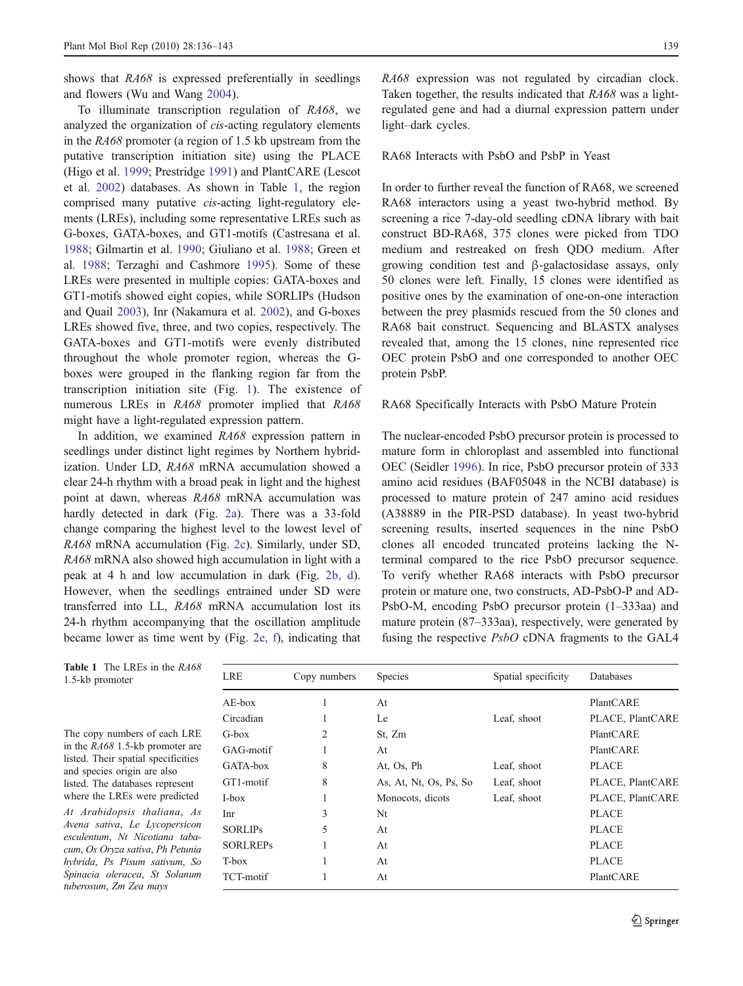shows that  $R468$  is expressed preferentially in seedlings and flowers (Wu and Wang [2004\)](#page-7-0).

To illuminate transcription regulation of RA68, we analyzed the organization of cis-acting regulatory elements in the RA68 promoter (a region of 1.5 kb upstream from the putative transcription initiation site) using the PLACE (Higo et al. [1999;](#page-7-0) Prestridge [1991](#page-7-0)) and PlantCARE (Lescot et al. [2002\)](#page-7-0) databases. As shown in Table 1, the region comprised many putative cis-acting light-regulatory elements (LREs), including some representative LREs such as G-boxes, GATA-boxes, and GT1-motifs (Castresana et al. [1988;](#page-6-0) Gilmartin et al. [1990;](#page-6-0) Giuliano et al. [1988;](#page-6-0) Green et al. [1988;](#page-7-0) Terzaghi and Cashmore [1995](#page-7-0)). Some of these LREs were presented in multiple copies: GATA-boxes and GT1-motifs showed eight copies, while SORLIPs (Hudson and Quail [2003\)](#page-7-0), Inr (Nakamura et al. [2002\)](#page-7-0), and G-boxes LREs showed five, three, and two copies, respectively. The GATA-boxes and GT1-motifs were evenly distributed throughout the whole promoter region, whereas the Gboxes were grouped in the flanking region far from the transcription initiation site (Fig. [1\)](#page-4-0). The existence of numerous LREs in RA68 promoter implied that RA68 might have a light-regulated expression pattern.

In addition, we examined RA68 expression pattern in seedlings under distinct light regimes by Northern hybridization. Under LD, RA68 mRNA accumulation showed a clear 24-h rhythm with a broad peak in light and the highest point at dawn, whereas RA68 mRNA accumulation was hardly detected in dark (Fig. [2a\)](#page-4-0). There was a 33-fold change comparing the highest level to the lowest level of RA68 mRNA accumulation (Fig. [2c\)](#page-4-0). Similarly, under SD, RA68 mRNA also showed high accumulation in light with a peak at 4 h and low accumulation in dark (Fig. [2b, d](#page-4-0)). However, when the seedlings entrained under SD were transferred into LL, RA68 mRNA accumulation lost its 24-h rhythm accompanying that the oscillation amplitude became lower as time went by (Fig. [2e, f\)](#page-4-0), indicating that

RA68 expression was not regulated by circadian clock. Taken together, the results indicated that RA68 was a lightregulated gene and had a diurnal expression pattern under light–dark cycles.

### RA68 Interacts with PsbO and PsbP in Yeast

In order to further reveal the function of RA68, we screened RA68 interactors using a yeast two-hybrid method. By screening a rice 7-day-old seedling cDNA library with bait construct BD-RA68, 375 clones were picked from TDO medium and restreaked on fresh QDO medium. After growing condition test and β-galactosidase assays, only 50 clones were left. Finally, 15 clones were identified as positive ones by the examination of one-on-one interaction between the prey plasmids rescued from the 50 clones and RA68 bait construct. Sequencing and BLASTX analyses revealed that, among the 15 clones, nine represented rice OEC protein PsbO and one corresponded to another OEC protein PsbP.

#### RA68 Specifically Interacts with PsbO Mature Protein

The nuclear-encoded PsbO precursor protein is processed to mature form in chloroplast and assembled into functional OEC (Seidler [1996\)](#page-7-0). In rice, PsbO precursor protein of 333 amino acid residues (BAF05048 in the NCBI database) is processed to mature protein of 247 amino acid residues (A38889 in the PIR-PSD database). In yeast two-hybrid screening results, inserted sequences in the nine PsbO clones all encoded truncated proteins lacking the Nterminal compared to the rice PsbO precursor sequence. To verify whether RA68 interacts with PsbO precursor protein or mature one, two constructs, AD-PsbO-P and AD-PsbO-M, encoding PsbO precursor protein (1–333aa) and mature protein (87–333aa), respectively, were generated by fusing the respective PsbO cDNA fragments to the GAL4

| LRE             | Copy numbers | <b>Species</b>         | Spatial specificity | <b>Databases</b> |
|-----------------|--------------|------------------------|---------------------|------------------|
| $AE$ -box       |              | At                     |                     | PlantCARE        |
| Circadian       | 1            | Le                     | Leaf, shoot         | PLACE, PlantCARE |
| $G-box$         | 2            | St, Zm                 |                     | PlantCARE        |
| GAG-motif       |              | At                     |                     | PlantCARE        |
| GATA-box        | 8            | At, Os, Ph             | Leaf, shoot         | <b>PLACE</b>     |
| GT1-motif       | 8            | As, At, Nt, Os, Ps, So | Leaf, shoot         | PLACE, PlantCARE |
| I-box           | 1            | Monocots, dicots       | Leaf, shoot         | PLACE, PlantCARE |
| Inr             | 3            | Nt                     |                     | <b>PLACE</b>     |
| <b>SORLIPS</b>  | 5            | At                     |                     | <b>PLACE</b>     |
| <b>SORLREPs</b> |              | At                     |                     | <b>PLACE</b>     |
| T-box           | 1            | At                     |                     | <b>PLACE</b>     |
| TCT-motif       |              | At                     |                     | PlantCARE        |
|                 |              |                        |                     |                  |

Table 1 The LREs in the RA68 1.5-kb promoter

The copy numbers of each LRE in the RA68 1.5-kb promoter are listed. Their spatial specificities and species origin are also listed. The databases represent where the LREs were predicted

At Arabidopsis thaliana, As Avena sativa, Le Lycopersicon esculentum, Nt Nicotiana tabacum, Os Oryza sativa, Ph Petunia hybrida, Ps Pisum sativum, So Spinacia oleracea, St Solanum tuberosum, Zm Zea mays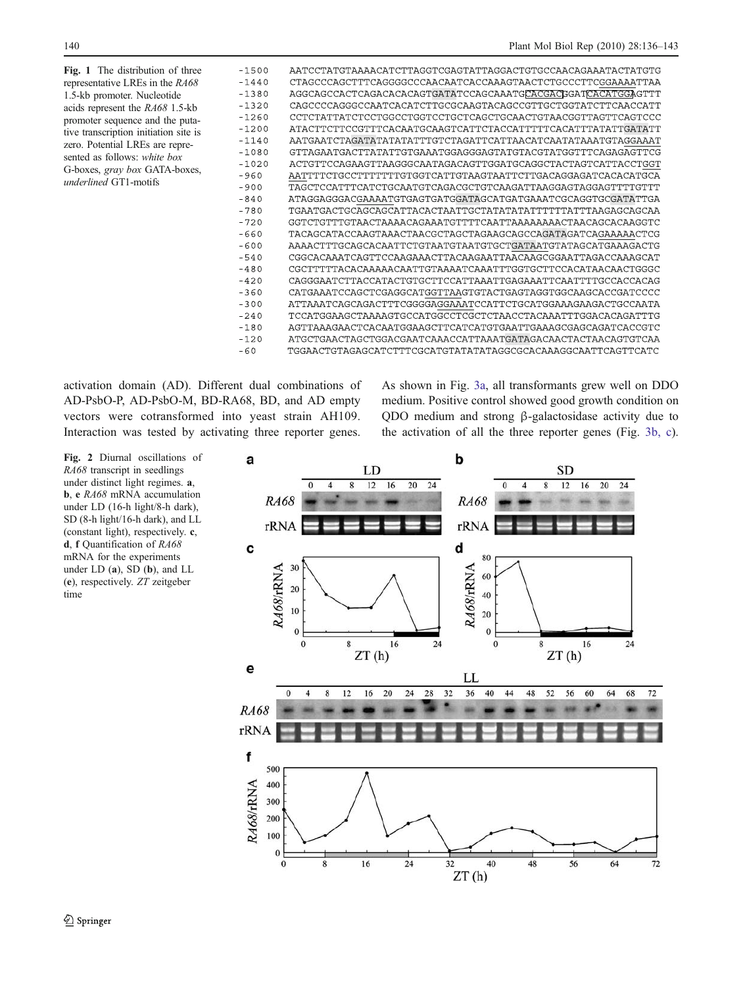<span id="page-4-0"></span>Fig. 1 The distribution of three representative LREs in the RA68 1.5-kb promoter. Nucleotide acids represent the RA68 1.5-kb promoter sequence and the putative transcription initiation site is zero. Potential LREs are represented as follows: white box G-boxes, gray box GATA-boxes, underlined GT1-motifs



activation domain (AD). Different dual combinations of AD-PsbO-P, AD-PsbO-M, BD-RA68, BD, and AD empty vectors were cotransformed into yeast strain AH109. Interaction was tested by activating three reporter genes.

As shown in Fig. [3a](#page-5-0), all transformants grew well on DDO medium. Positive control showed good growth condition on QDO medium and strong β-galactosidase activity due to the activation of all the three reporter genes (Fig. [3b, c\)](#page-5-0).

Fig. 2 Diurnal oscillations of RA68 transcript in seedlings under distinct light regimes. a, b, e RA68 mRNA accumulation under LD (16-h light/8-h dark), SD (8-h light/16-h dark), and LL (constant light), respectively. c, d, f Quantification of RA68 mRNA for the experiments under LD (a), SD (b), and LL (e), respectively. ZT zeitgeber time

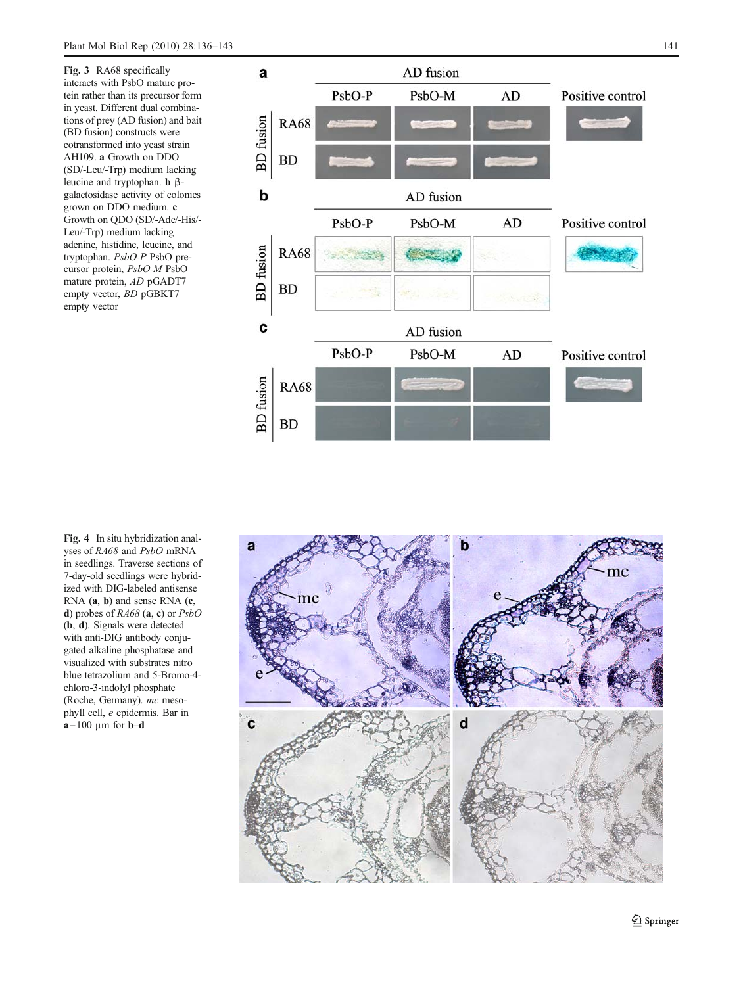<span id="page-5-0"></span>Fig. 3 RA68 specifically interacts with PsbO mature protein rather than its precursor form in yeast. Different dual combinations of prey (AD fusion) and bait (BD fusion) constructs were cotransformed into yeast strain AH109. a Growth on DDO (SD/-Leu/-Trp) medium lacking leucine and tryptophan. **b** βgalactosidase activity of colonies grown on DDO medium. c Growth on QDO (SD/-Ade/-His/- Leu/-Trp) medium lacking adenine, histidine, leucine, and tryptophan. PsbO-P PsbO precursor protein, PsbO-M PsbO mature protein, AD pGADT7 empty vector, BD pGBKT7 empty vector



Fig. 4 In situ hybridization analyses of RA68 and PsbO mRNA in seedlings. Traverse sections of 7-day-old seedlings were hybridized with DIG-labeled antisense RNA  $(a, b)$  and sense RNA  $(c,$ d) probes of  $RA68$  (a, c) or  $PsbO$ ( b , d). Signals were detected with anti-DIG antibody conjugated alkaline phosphatase and visualized with substrates nitro blue tetrazolium and 5-Bromo-4 chloro-3-indolyl phosphate (Roche, Germany). mc mesophyll cell, e epidermis. Bar in  $a=100 \mu m$  for **b**-d

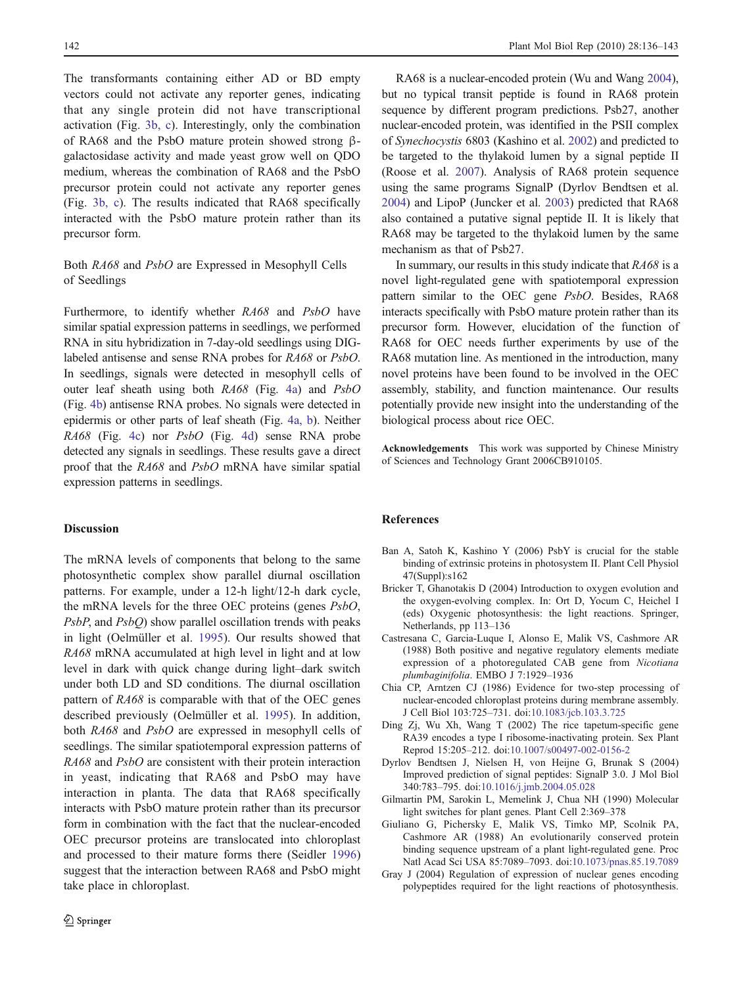<span id="page-6-0"></span>The transformants containing either AD or BD empty vectors could not activate any reporter genes, indicating that any single protein did not have transcriptional activation (Fig. [3b, c](#page-5-0)). Interestingly, only the combination of RA68 and the PsbO mature protein showed strong βgalactosidase activity and made yeast grow well on QDO medium, whereas the combination of RA68 and the PsbO precursor protein could not activate any reporter genes (Fig. [3b, c\)](#page-5-0). The results indicated that RA68 specifically interacted with the PsbO mature protein rather than its precursor form.

# Both RA68 and PsbO are Expressed in Mesophyll Cells of Seedlings

Furthermore, to identify whether RA68 and PsbO have similar spatial expression patterns in seedlings, we performed RNA in situ hybridization in 7-day-old seedlings using DIGlabeled antisense and sense RNA probes for RA68 or PsbO. In seedlings, signals were detected in mesophyll cells of outer leaf sheath using both RA68 (Fig. [4a](#page-5-0)) and PsbO (Fig. [4b](#page-5-0)) antisense RNA probes. No signals were detected in epidermis or other parts of leaf sheath (Fig. [4a, b\)](#page-5-0). Neither RA68 (Fig. [4c\)](#page-5-0) nor PsbO (Fig. [4d\)](#page-5-0) sense RNA probe detected any signals in seedlings. These results gave a direct proof that the RA68 and PsbO mRNA have similar spatial expression patterns in seedlings.

# Discussion

The mRNA levels of components that belong to the same photosynthetic complex show parallel diurnal oscillation patterns. For example, under a 12-h light/12-h dark cycle, the mRNA levels for the three OEC proteins (genes PsbO, PsbP, and PsbQ) show parallel oscillation trends with peaks in light (Oelmüller et al. [1995](#page-7-0)). Our results showed that RA68 mRNA accumulated at high level in light and at low level in dark with quick change during light–dark switch under both LD and SD conditions. The diurnal oscillation pattern of RA68 is comparable with that of the OEC genes described previously (Oelmüller et al. [1995\)](#page-7-0). In addition, both RA68 and PsbO are expressed in mesophyll cells of seedlings. The similar spatiotemporal expression patterns of RA68 and PsbO are consistent with their protein interaction in yeast, indicating that RA68 and PsbO may have interaction in planta. The data that RA68 specifically interacts with PsbO mature protein rather than its precursor form in combination with the fact that the nuclear-encoded OEC precursor proteins are translocated into chloroplast and processed to their mature forms there (Seidler [1996\)](#page-7-0) suggest that the interaction between RA68 and PsbO might take place in chloroplast.

RA68 is a nuclear-encoded protein (Wu and Wang [2004\)](#page-7-0), but no typical transit peptide is found in RA68 protein sequence by different program predictions. Psb27, another nuclear-encoded protein, was identified in the PSII complex of Synechocystis 6803 (Kashino et al. [2002](#page-7-0)) and predicted to be targeted to the thylakoid lumen by a signal peptide II (Roose et al. [2007\)](#page-7-0). Analysis of RA68 protein sequence using the same programs SignalP (Dyrlov Bendtsen et al. 2004) and LipoP (Juncker et al. [2003\)](#page-7-0) predicted that RA68 also contained a putative signal peptide II. It is likely that RA68 may be targeted to the thylakoid lumen by the same mechanism as that of Psb27.

In summary, our results in this study indicate that RA68 is a novel light-regulated gene with spatiotemporal expression pattern similar to the OEC gene PsbO. Besides, RA68 interacts specifically with PsbO mature protein rather than its precursor form. However, elucidation of the function of RA68 for OEC needs further experiments by use of the RA68 mutation line. As mentioned in the introduction, many novel proteins have been found to be involved in the OEC assembly, stability, and function maintenance. Our results potentially provide new insight into the understanding of the biological process about rice OEC.

Acknowledgements This work was supported by Chinese Ministry of Sciences and Technology Grant 2006CB910105.

## References

- Ban A, Satoh K, Kashino Y (2006) PsbY is crucial for the stable binding of extrinsic proteins in photosystem II. Plant Cell Physiol 47(Suppl):s162
- Bricker T, Ghanotakis D (2004) Introduction to oxygen evolution and the oxygen-evolving complex. In: Ort D, Yocum C, Heichel I (eds) Oxygenic photosynthesis: the light reactions. Springer, Netherlands, pp 113–136
- Castresana C, Garcia-Luque I, Alonso E, Malik VS, Cashmore AR (1988) Both positive and negative regulatory elements mediate expression of a photoregulated CAB gene from Nicotiana plumbaginifolia. EMBO J 7:1929–1936
- Chia CP, Arntzen CJ (1986) Evidence for two-step processing of nuclear-encoded chloroplast proteins during membrane assembly. J Cell Biol 103:725–731. doi:[10.1083/jcb.103.3.725](http://dx.doi.org/10.1083/jcb.103.3.725)
- Ding Zj, Wu Xh, Wang T (2002) The rice tapetum-specific gene RA39 encodes a type I ribosome-inactivating protein. Sex Plant Reprod 15:205–212. doi[:10.1007/s00497-002-0156-2](http://dx.doi.org/10.1007/s00497-002-0156-2)
- Dyrlov Bendtsen J, Nielsen H, von Heijne G, Brunak S (2004) Improved prediction of signal peptides: SignalP 3.0. J Mol Biol 340:783–795. doi:[10.1016/j.jmb.2004.05.028](http://dx.doi.org/10.1016/j.jmb.2004.05.028)
- Gilmartin PM, Sarokin L, Memelink J, Chua NH (1990) Molecular light switches for plant genes. Plant Cell 2:369–378
- Giuliano G, Pichersky E, Malik VS, Timko MP, Scolnik PA, Cashmore AR (1988) An evolutionarily conserved protein binding sequence upstream of a plant light-regulated gene. Proc Natl Acad Sci USA 85:7089–7093. doi:[10.1073/pnas.85.19.7089](http://dx.doi.org/10.1073/pnas.85.19.7089)
- Gray J (2004) Regulation of expression of nuclear genes encoding polypeptides required for the light reactions of photosynthesis.